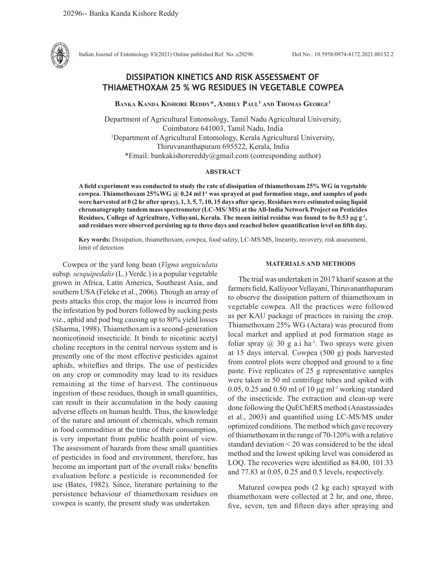

Indian Journal of Entomology 83(2021) Online published Ref. No. e20296 DoI No.: 10.5958/0974-8172.2021.00132.2

# **DISSIPATION KINETICS AND RISK ASSESSMENT OF THIAMETHOXAM 25 % WG RESIDUES IN VEGETABLE COWPEA**

**Banka Kanda Kishore Reddy\*, Ambily Paul1 and Thomas George1**

Department of Agricultural Entomology, Tamil Nadu Agricultural University, Coimbatore 641003, Tamil Nadu, India 1 Department of Agricultural Entomology, Kerala Agricultural University, Thiruvananthapuram 695522, Kerala, India \*Email: bankakishorereddy@gmail.com (corresponding author)

#### **ABSTRACT**

**A field experiment was conducted to study the rate of dissipation of thiamethoxam 25% WG in vegetable cowpea. Thiamethoxam 25%WG @ 0.24 ml l-1 was sprayed at pod formation stage, and samples of pods were harvested at 0 (2 hr after spray), 1, 3, 5, 7, 10, 15 days after spray. Residues were estimated using liquid chromatography tandem mass spectrometer (LC-MS/ MS) at the All-India Network Project on Pesticides Residues, College of Agriculture, Vellayani, Kerala. The mean initial residue was found to be 0.53 µg g-1, and residues were observed persisting up to three days and reached below quantification level on fifth day.**

**Key words:** Dissipation, thiamethoxam, cowpea, food safety, LC-MS/MS, linearity, recovery, risk assessment, limit of detection

Cowpea or the yard long bean (*Vigna unguiculata*  subsp*. sesquipedalis* (L.) Verdc*.*) is a popular vegetable grown in Africa, Latin America, Southeast Asia, and southern USA (Feleke et al., 2006). Though an array of pests attacks this crop, the major loss is incurred from the infestation by pod borers followed by sucking pests viz., aphid and pod bug causing up to 80% yield losses (Sharma, 1998). Thiamethoxam is a second-generation neonicotinoid insecticide. It binds to nicotinic acetyl choline receptors in the central nervous system and is presently one of the most effective pesticides against aphids, whiteflies and thrips. The use of pesticides on any crop or commodity may lead to its residues remaining at the time of harvest. The continuous ingestion of these residues, though in small quantities, can result in their accumulation in the body causing adverse effects on human health. Thus, the knowledge of the nature and amount of chemicals, which remain in food commodities at the time of their consumption, is very important from public health point of view. The assessment of hazards from these small quantities of pesticides in food and environment, therefore, has become an important part of the overall risks/ benefits evaluation before a pesticide is recommended for use (Bates, 1982). Since, literature pertaining to the persistence behaviour of thiamethoxam residues on cowpea is scanty, the present study was undertaken.

## **MATERIALS AND METHODS**

The trial was undertaken in 2017 kharif season at the farmers field, Kalliyoor Vellayani, Thiruvananthapuram to observe the dissipation pattern of thiamethoxam in vegetable cowpea. All the practices were followed as per KAU package of practices in raising the crop. Thiamethoxam 25% WG (Actara) was procured from local market and applied at pod formation stage as foliar spray  $(a)$  30 g a.i ha<sup>-1</sup>. Two sprays were given at 15 days interval. Cowpea (500 g) pods harvested from control plots were chopped and ground to a fine paste. Five replicates of 25 g representative samples were taken in 50 ml centrifuge tubes and spiked with 0.05, 0.25 and 0.50 ml of 10 μg ml-1 working standard of the insecticide. The extraction and clean-up were done following the QuEChERS method (Anastassiades et al., 2003) and quantified using LC-MS/MS under optimized conditions. The method which gave recovery of thiamethoxam in the range of 70-120% with a relative standard deviation < 20 was considered to be the ideal method and the lowest spiking level was considered as LOQ. The recoveries were identified as 84.00, 101.33 and 77.83 at 0.05, 0.25 and 0.5 levels, respectively.

Matured cowpea pods (2 kg each) sprayed with thiamethoxam were collected at 2 hr, and one, three, five, seven, ten and fifteen days after spraying and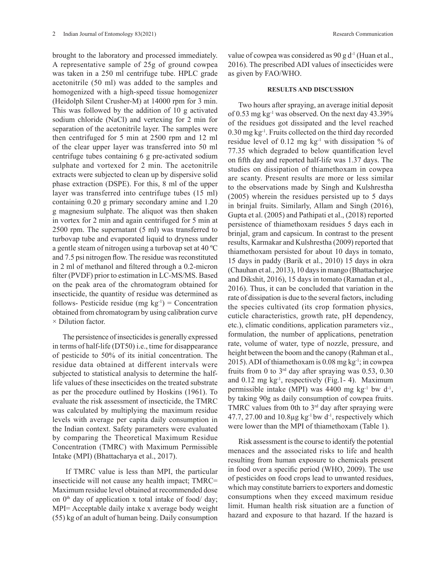brought to the laboratory and processed immediately. A representative sample of 25g of ground cowpea was taken in a 250 ml centrifuge tube. HPLC grade acetonitrile (50 ml) was added to the samples and homogenized with a high-speed tissue homogenizer (Heidolph Silent Crusher-M) at 14000 rpm for 3 min. This was followed by the addition of 10 g activated sodium chloride (NaCl) and vertexing for 2 min for separation of the acetonitrile layer. The samples were then centrifuged for 5 min at 2500 rpm and 12 ml of the clear upper layer was transferred into 50 ml centrifuge tubes containing 6 g pre-activated sodium sulphate and vortexed for 2 min. The acetonitrile extracts were subjected to clean up by dispersive solid phase extraction (DSPE). For this, 8 ml of the upper layer was transferred into centrifuge tubes (15 ml) containing 0.20 g primary secondary amine and 1.20 g magnesium sulphate. The aliquot was then shaken in vortex for 2 min and again centrifuged for 5 min at 2500 rpm. The supernatant (5 ml) was transferred to turbovap tube and evaporated liquid to dryness under a gentle steam of nitrogen using a turbovap set at 40 ºC and 7.5 psi nitrogen flow. The residue was reconstituted in 2 ml of methanol and filtered through a 0.2-micron filter (PVDF) prior to estimation in LC-MS/MS. Based on the peak area of the chromatogram obtained for insecticide, the quantity of residue was determined as follows- Pesticide residue (mg  $kg^{-1}$ ) = Concentration obtained from chromatogram by using calibration curve × Dilution factor.

The persistence of insecticides is generally expressed in terms of half-life (DT50) i.e., time for disappearance of pesticide to 50% of its initial concentration. The residue data obtained at different intervals were subjected to statistical analysis to determine the halflife values of these insecticides on the treated substrate as per the procedure outlined by Hoskins (1961). To evaluate the risk assessment of insecticide, the TMRC was calculated by multiplying the maximum residue levels with average per capita daily consumption in the Indian context. Safety parameters were evaluated by comparing the Theoretical Maximum Residue Concentration (TMRC) with Maximum Permissible Intake (MPI) (Bhattacharya et al., 2017).

 If TMRC value is less than MPI, the particular insecticide will not cause any health impact; TMRC= Maximum residue level obtained at recommended dose on  $0<sup>th</sup>$  day of application x total intake of food/ day; MPI= Acceptable daily intake x average body weight (55) kg of an adult of human being. Daily consumption value of cowpea was considered as  $90 \text{ g d}^{-1}$  (Huan et al., 2016). The prescribed ADI values of insecticides were as given by FAO/WHO.

#### **RESULTS AND DISCUSSION**

Two hours after spraying, an average initial deposit of 0.53 mg kg-1 was observed. On the next day 43.39% of the residues got dissipated and the level reached 0.30 mg kg-1. Fruits collected on the third day recorded residue level of 0.12 mg  $kg<sup>-1</sup>$  with dissipation % of 77.35 which degraded to below quantification level on fifth day and reported half-life was 1.37 days. The studies on dissipation of thiamethoxam in cowpea are scanty. Present results are more or less similar to the observations made by Singh and Kulshrestha (2005) wherein the residues persisted up to 5 days in brinjal fruits. Similarly, Allam and Singh (2016), Gupta et al. (2005) and Pathipati et al., (2018) reported persistence of thiamethoxam residues 5 days each in brinjal, gram and capsicum. In contrast to the present results, Karmakar and Kulshrestha (2009) reported that thiamethoxam persisted for about 10 days in tomato, 15 days in paddy (Barik et al., 2010) 15 days in okra (Chauhan et al., 2013), 10 days in mango (Bhattacharjee and Dikshit, 2016), 15 days in tomato (Ramadan et al., 2016). Thus, it can be concluded that variation in the rate of dissipation is due to the several factors, including the species cultivated (its crop formation physics, cuticle characteristics, growth rate, pH dependency, etc.), climatic conditions, application parameters viz., formulation, the number of applications, penetration rate, volume of water, type of nozzle, pressure, and height between the boom and the canopy (Rahman et al., 2015). ADI of thiamethoxam is 0.08 mg kg-1; in cowpea fruits from 0 to  $3<sup>rd</sup>$  day after spraying was 0.53, 0.30 and  $0.12$  mg kg<sup>-1</sup>, respectively (Fig. 1-4). Maximum permissible intake (MPI) was  $4400$  mg kg<sup>-1</sup> bw d<sup>-1</sup>, by taking 90g as daily consumption of cowpea fruits. TMRC values from 0th to  $3<sup>rd</sup>$  day after spraying were 47.7, 27.00 and  $10.8\mu$ g kg<sup>-1</sup> bw d<sup>-1</sup>, respectively which were lower than the MPI of thiamethoxam (Table 1).

Risk assessment is the course to identify the potential menaces and the associated risks to life and health resulting from human exposure to chemicals present in food over a specific period (WHO, 2009). The use of pesticides on food crops lead to unwanted residues, which may constitute barriers to exporters and domestic consumptions when they exceed maximum residue limit. Human health risk situation are a function of hazard and exposure to that hazard. If the hazard is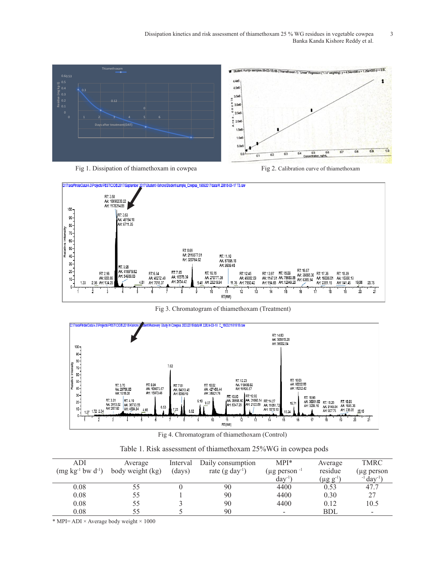Dissipation kinetics and risk assessment of thiamethoxam 25 % WG residues in vegetable cowpea 3 Banka Kanda Kishore Reddy et al.





Fig 3. Chromatogram of thiamethoxam (Treatment)



Fig 4. Chromatogram of thiamethoxam (Control)

| $\sqrt{a}WC$<br>$\mathbf{D}$ :<br>$\sim$<br>$\Delta \xi 0.$<br>s assessment of thiamethoxam.<br>rable<br>in cowpea pods<br>INIS <sup>p</sup> |
|----------------------------------------------------------------------------------------------------------------------------------------------|
|                                                                                                                                              |

| ADI                                | Average          | Interval | Daily consumption           | $MPI^*$                       | Average          | TMRC                        |
|------------------------------------|------------------|----------|-----------------------------|-------------------------------|------------------|-----------------------------|
| $(mg kg^{-1}$ bw d <sup>-1</sup> ) | body weight (kg) | (days)   | rate $(g \text{ day}^{-1})$ | $(\mu g \text{ person}^{-1})$ | residue          | $(\mu g$ person             |
|                                    |                  |          |                             | $day^{-1}$                    | $(\mu g g^{-1})$ | $^{-1}$ day <sup>-1</sup> ) |
| 0.08                               | 55               |          | 90                          | 4400                          | 0.53             | 47.7                        |
| 0.08                               | 55               |          | 90                          | 4400                          | 0.30             | 27                          |
| 0.08                               | 55               |          | 90                          | 4400                          | 0.12             | 10.5                        |
| 0.08                               | 55               |          | 90                          |                               | BDI.             | -                           |

\* MPI= ADI × Average body weight × 1000